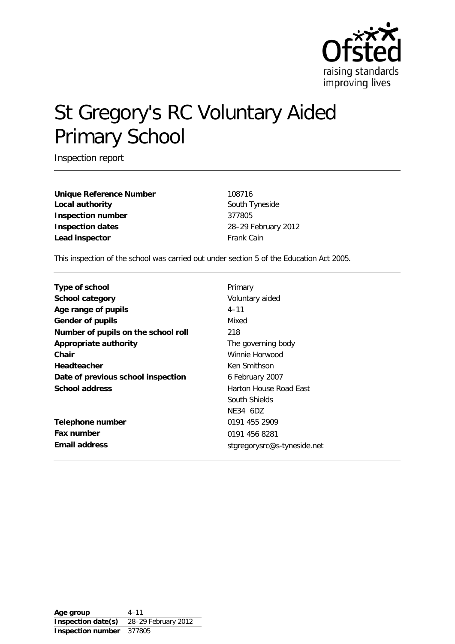

# St Gregory's RC Voluntary Aided Primary School

Inspection report

**Unique Reference Number** 108716 **Local authority South Tyneside** South Tyneside **Inspection number** 377805 **Inspection dates** 28–29 February 2012 **Lead inspector** Frank Cain

This inspection of the school was carried out under section 5 of the Education Act 2005.

| Type of school                      | Primary                     |  |  |
|-------------------------------------|-----------------------------|--|--|
| <b>School category</b>              | Voluntary aided             |  |  |
|                                     |                             |  |  |
| Age range of pupils                 | $4 - 11$                    |  |  |
| <b>Gender of pupils</b>             | Mixed                       |  |  |
| Number of pupils on the school roll | 218                         |  |  |
| Appropriate authority               | The governing body          |  |  |
| Chair                               | Winnie Horwood              |  |  |
| <b>Headteacher</b><br>Ken Smithson  |                             |  |  |
| Date of previous school inspection  | 6 February 2007             |  |  |
| <b>School address</b>               | Harton House Road East      |  |  |
|                                     | South Shields               |  |  |
|                                     | NE34 6DZ                    |  |  |
| <b>Telephone number</b>             | 0191 455 2909               |  |  |
| Fax number                          | 0191 456 8281               |  |  |
| Email address                       | stgregorysrc@s-tyneside.net |  |  |

**Age group** 4–11 **Inspection date(s)** 28–29 February 2012 **Inspection number** 377805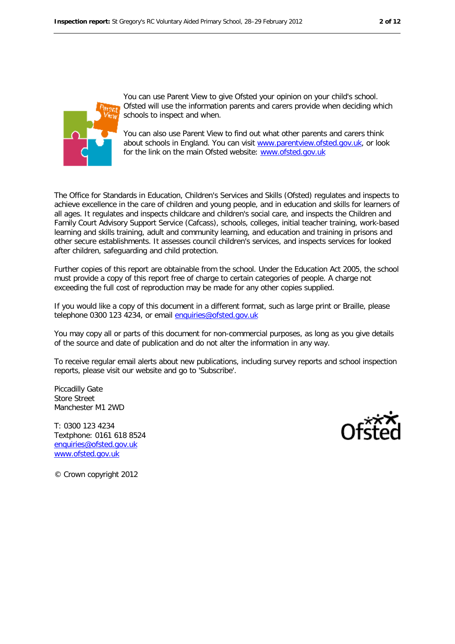

You can use Parent View to give Ofsted your opinion on your child's school. Ofsted will use the information parents and carers provide when deciding which schools to inspect and when.

You can also use Parent View to find out what other parents and carers think about schools in England. You can visit www.parentview.ofsted.gov.uk, or look for the link on the main Ofsted website: www.ofsted.gov.uk

The Office for Standards in Education, Children's Services and Skills (Ofsted) regulates and inspects to achieve excellence in the care of children and young people, and in education and skills for learners of all ages. It regulates and inspects childcare and children's social care, and inspects the Children and Family Court Advisory Support Service (Cafcass), schools, colleges, initial teacher training, work-based learning and skills training, adult and community learning, and education and training in prisons and other secure establishments. It assesses council children's services, and inspects services for looked after children, safeguarding and child protection.

Further copies of this report are obtainable from the school. Under the Education Act 2005, the school must provide a copy of this report free of charge to certain categories of people. A charge not exceeding the full cost of reproduction may be made for any other copies supplied.

If you would like a copy of this document in a different format, such as large print or Braille, please telephone 0300 123 4234, or email [enquiries@ofsted.gov.uk](mailto:enquiries@ofsted.gov.uk)

You may copy all or parts of this document for non-commercial purposes, as long as you give details of the source and date of publication and do not alter the information in any way.

To receive regular email alerts about new publications, including survey reports and school inspection reports, please visit our website and go to 'Subscribe'.

Piccadilly Gate Store Street Manchester M1 2WD

T: 0300 123 4234 Textphone: 0161 618 8524 [enquiries@ofsted.gov.uk](mailto:enquiries@ofsted.gov.uk) [www.ofsted.gov.uk](http://www.ofsted.gov.uk/)



© Crown copyright 2012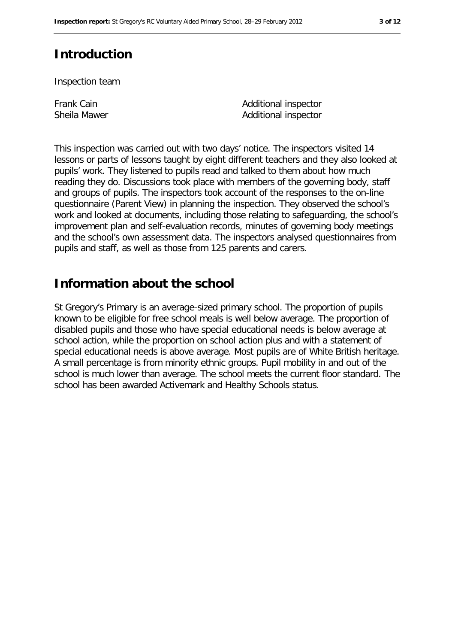# **Introduction**

Inspection team

Frank Cain Sheila Mawer Additional inspector Additional inspector

This inspection was carried out with two days' notice. The inspectors visited 14 lessons or parts of lessons taught by eight different teachers and they also looked at pupils' work. They listened to pupils read and talked to them about how much reading they do. Discussions took place with members of the governing body, staff and groups of pupils. The inspectors took account of the responses to the on-line questionnaire (Parent View) in planning the inspection. They observed the school's work and looked at documents, including those relating to safeguarding, the school's improvement plan and self-evaluation records, minutes of governing body meetings and the school's own assessment data. The inspectors analysed questionnaires from pupils and staff, as well as those from 125 parents and carers.

# **Information about the school**

St Gregory's Primary is an average-sized primary school. The proportion of pupils known to be eligible for free school meals is well below average. The proportion of disabled pupils and those who have special educational needs is below average at school action, while the proportion on school action plus and with a statement of special educational needs is above average. Most pupils are of White British heritage. A small percentage is from minority ethnic groups. Pupil mobility in and out of the school is much lower than average. The school meets the current floor standard. The school has been awarded Activemark and Healthy Schools status.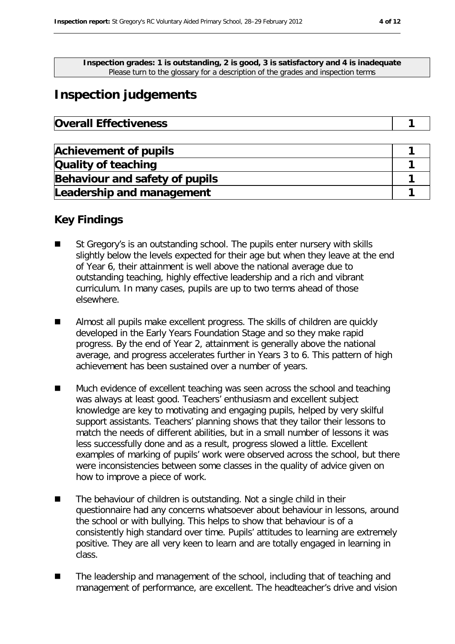**Inspection grades: 1 is outstanding, 2 is good, 3 is satisfactory and 4 is inadequate** Please turn to the glossary for a description of the grades and inspection terms

# **Inspection judgements**

| <b>Achievement of pupils</b>   |  |
|--------------------------------|--|
| Quality of teaching            |  |
| Behaviour and safety of pupils |  |
| Leadership and management      |  |

## **Key Findings**

- St Gregory's is an outstanding school. The pupils enter nursery with skills slightly below the levels expected for their age but when they leave at the end of Year 6, their attainment is well above the national average due to outstanding teaching, highly effective leadership and a rich and vibrant curriculum. In many cases, pupils are up to two terms ahead of those elsewhere.
- Almost all pupils make excellent progress. The skills of children are quickly developed in the Early Years Foundation Stage and so they make rapid progress. By the end of Year 2, attainment is generally above the national average, and progress accelerates further in Years 3 to 6. This pattern of high achievement has been sustained over a number of years.
- Much evidence of excellent teaching was seen across the school and teaching was always at least good. Teachers' enthusiasm and excellent subject knowledge are key to motivating and engaging pupils, helped by very skilful support assistants. Teachers' planning shows that they tailor their lessons to match the needs of different abilities, but in a small number of lessons it was less successfully done and as a result, progress slowed a little. Excellent examples of marking of pupils' work were observed across the school, but there were inconsistencies between some classes in the quality of advice given on how to improve a piece of work.
- The behaviour of children is outstanding. Not a single child in their questionnaire had any concerns whatsoever about behaviour in lessons, around the school or with bullying. This helps to show that behaviour is of a consistently high standard over time. Pupils' attitudes to learning are extremely positive. They are all very keen to learn and are totally engaged in learning in class.
- The leadership and management of the school, including that of teaching and management of performance, are excellent. The headteacher's drive and vision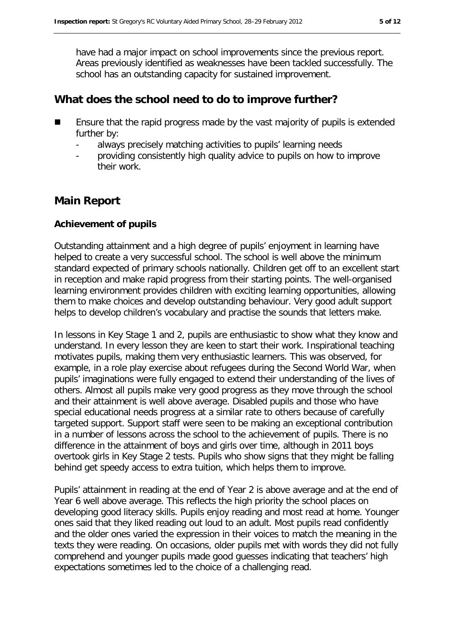have had a major impact on school improvements since the previous report. Areas previously identified as weaknesses have been tackled successfully. The school has an outstanding capacity for sustained improvement.

## **What does the school need to do to improve further?**

- Ensure that the rapid progress made by the vast majority of pupils is extended further by:
	- always precisely matching activities to pupils' learning needs
	- providing consistently high quality advice to pupils on how to improve their work.

## **Main Report**

#### **Achievement of pupils**

Outstanding attainment and a high degree of pupils' enjoyment in learning have helped to create a very successful school. The school is well above the minimum standard expected of primary schools nationally. Children get off to an excellent start in reception and make rapid progress from their starting points. The well-organised learning environment provides children with exciting learning opportunities, allowing them to make choices and develop outstanding behaviour. Very good adult support helps to develop children's vocabulary and practise the sounds that letters make.

In lessons in Key Stage 1 and 2, pupils are enthusiastic to show what they know and understand. In every lesson they are keen to start their work. Inspirational teaching motivates pupils, making them very enthusiastic learners. This was observed, for example, in a role play exercise about refugees during the Second World War, when pupils' imaginations were fully engaged to extend their understanding of the lives of others. Almost all pupils make very good progress as they move through the school and their attainment is well above average. Disabled pupils and those who have special educational needs progress at a similar rate to others because of carefully targeted support. Support staff were seen to be making an exceptional contribution in a number of lessons across the school to the achievement of pupils. There is no difference in the attainment of boys and girls over time, although in 2011 boys overtook girls in Key Stage 2 tests. Pupils who show signs that they might be falling behind get speedy access to extra tuition, which helps them to improve.

Pupils' attainment in reading at the end of Year 2 is above average and at the end of Year 6 well above average. This reflects the high priority the school places on developing good literacy skills. Pupils enjoy reading and most read at home. Younger ones said that they liked reading out loud to an adult. Most pupils read confidently and the older ones varied the expression in their voices to match the meaning in the texts they were reading. On occasions, older pupils met with words they did not fully comprehend and younger pupils made good guesses indicating that teachers' high expectations sometimes led to the choice of a challenging read.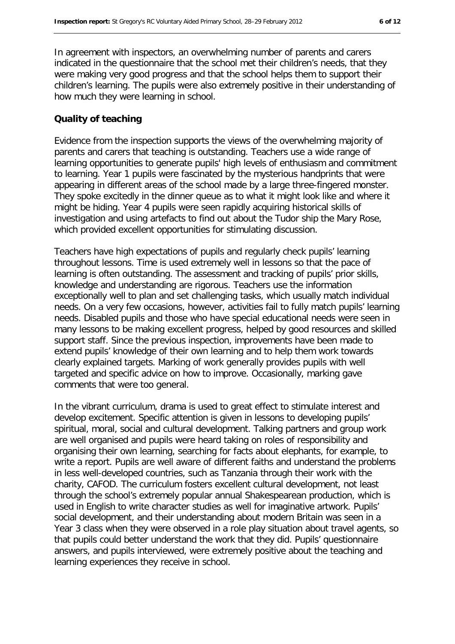In agreement with inspectors, an overwhelming number of parents and carers indicated in the questionnaire that the school met their children's needs, that they were making very good progress and that the school helps them to support their children's learning. The pupils were also extremely positive in their understanding of how much they were learning in school.

#### **Quality of teaching**

Evidence from the inspection supports the views of the overwhelming majority of parents and carers that teaching is outstanding. Teachers use a wide range of learning opportunities to generate pupils' high levels of enthusiasm and commitment to learning. Year 1 pupils were fascinated by the mysterious handprints that were appearing in different areas of the school made by a large three-fingered monster. They spoke excitedly in the dinner queue as to what it might look like and where it might be hiding. Year 4 pupils were seen rapidly acquiring historical skills of investigation and using artefacts to find out about the Tudor ship the Mary Rose, which provided excellent opportunities for stimulating discussion.

Teachers have high expectations of pupils and regularly check pupils' learning throughout lessons. Time is used extremely well in lessons so that the pace of learning is often outstanding. The assessment and tracking of pupils' prior skills, knowledge and understanding are rigorous. Teachers use the information exceptionally well to plan and set challenging tasks, which usually match individual needs. On a very few occasions, however, activities fail to fully match pupils' learning needs. Disabled pupils and those who have special educational needs were seen in many lessons to be making excellent progress, helped by good resources and skilled support staff. Since the previous inspection, improvements have been made to extend pupils' knowledge of their own learning and to help them work towards clearly explained targets. Marking of work generally provides pupils with well targeted and specific advice on how to improve. Occasionally, marking gave comments that were too general.

In the vibrant curriculum, drama is used to great effect to stimulate interest and develop excitement. Specific attention is given in lessons to developing pupils' spiritual, moral, social and cultural development. Talking partners and group work are well organised and pupils were heard taking on roles of responsibility and organising their own learning, searching for facts about elephants, for example, to write a report. Pupils are well aware of different faiths and understand the problems in less well-developed countries, such as Tanzania through their work with the charity, CAFOD. The curriculum fosters excellent cultural development, not least through the school's extremely popular annual Shakespearean production, which is used in English to write character studies as well for imaginative artwork. Pupils' social development, and their understanding about modern Britain was seen in a Year 3 class when they were observed in a role play situation about travel agents, so that pupils could better understand the work that they did. Pupils' questionnaire answers, and pupils interviewed, were extremely positive about the teaching and learning experiences they receive in school.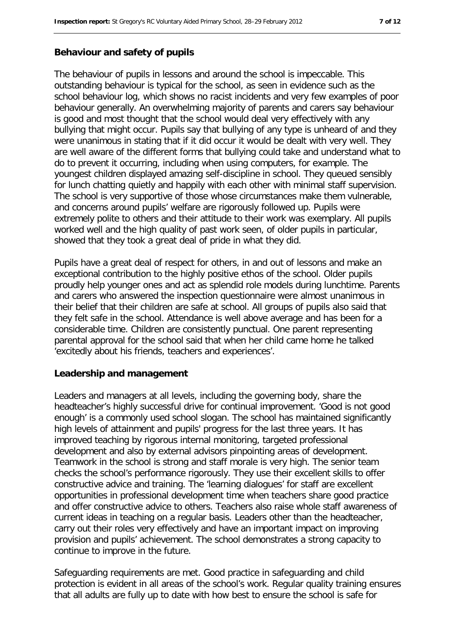#### **Behaviour and safety of pupils**

The behaviour of pupils in lessons and around the school is impeccable. This outstanding behaviour is typical for the school, as seen in evidence such as the school behaviour log, which shows no racist incidents and very few examples of poor behaviour generally. An overwhelming majority of parents and carers say behaviour is good and most thought that the school would deal very effectively with any bullying that might occur. Pupils say that bullying of any type is unheard of and they were unanimous in stating that if it did occur it would be dealt with very well. They are well aware of the different forms that bullying could take and understand what to do to prevent it occurring, including when using computers, for example. The youngest children displayed amazing self-discipline in school. They queued sensibly for lunch chatting quietly and happily with each other with minimal staff supervision. The school is very supportive of those whose circumstances make them vulnerable, and concerns around pupils' welfare are rigorously followed up. Pupils were extremely polite to others and their attitude to their work was exemplary. All pupils worked well and the high quality of past work seen, of older pupils in particular, showed that they took a great deal of pride in what they did.

Pupils have a great deal of respect for others, in and out of lessons and make an exceptional contribution to the highly positive ethos of the school. Older pupils proudly help younger ones and act as splendid role models during lunchtime. Parents and carers who answered the inspection questionnaire were almost unanimous in their belief that their children are safe at school. All groups of pupils also said that they felt safe in the school. Attendance is well above average and has been for a considerable time. Children are consistently punctual. One parent representing parental approval for the school said that when her child came home he talked 'excitedly about his friends, teachers and experiences'.

#### **Leadership and management**

Leaders and managers at all levels, including the governing body, share the headteacher's highly successful drive for continual improvement. 'Good is not good enough' is a commonly used school slogan. The school has maintained significantly high levels of attainment and pupils' progress for the last three years. It has improved teaching by rigorous internal monitoring, targeted professional development and also by external advisors pinpointing areas of development. Teamwork in the school is strong and staff morale is very high. The senior team checks the school's performance rigorously. They use their excellent skills to offer constructive advice and training. The 'learning dialogues' for staff are excellent opportunities in professional development time when teachers share good practice and offer constructive advice to others. Teachers also raise whole staff awareness of current ideas in teaching on a regular basis. Leaders other than the headteacher, carry out their roles very effectively and have an important impact on improving provision and pupils' achievement. The school demonstrates a strong capacity to continue to improve in the future.

Safeguarding requirements are met. Good practice in safeguarding and child protection is evident in all areas of the school's work. Regular quality training ensures that all adults are fully up to date with how best to ensure the school is safe for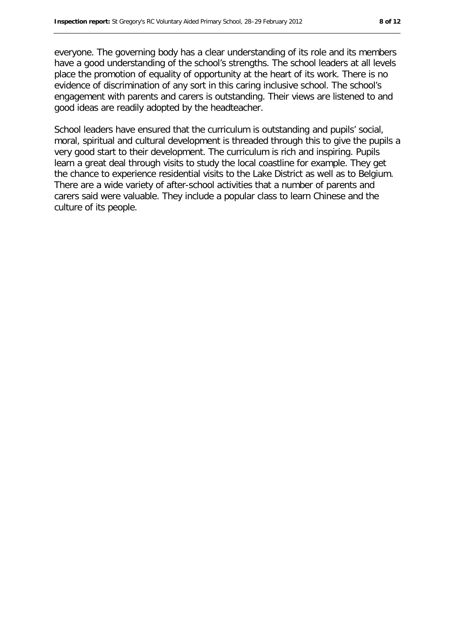everyone. The governing body has a clear understanding of its role and its members have a good understanding of the school's strengths. The school leaders at all levels place the promotion of equality of opportunity at the heart of its work. There is no evidence of discrimination of any sort in this caring inclusive school. The school's engagement with parents and carers is outstanding. Their views are listened to and good ideas are readily adopted by the headteacher.

School leaders have ensured that the curriculum is outstanding and pupils' social, moral, spiritual and cultural development is threaded through this to give the pupils a very good start to their development. The curriculum is rich and inspiring. Pupils learn a great deal through visits to study the local coastline for example. They get the chance to experience residential visits to the Lake District as well as to Belgium. There are a wide variety of after-school activities that a number of parents and carers said were valuable. They include a popular class to learn Chinese and the culture of its people.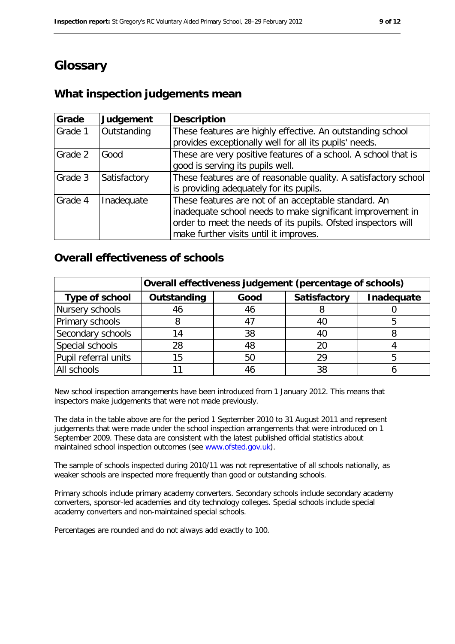# **Glossary**

## **What inspection judgements mean**

| Grade   | Judgement    | <b>Description</b>                                                                                                                                                                                                            |
|---------|--------------|-------------------------------------------------------------------------------------------------------------------------------------------------------------------------------------------------------------------------------|
| Grade 1 | Outstanding  | These features are highly effective. An outstanding school<br>provides exceptionally well for all its pupils' needs.                                                                                                          |
| Grade 2 | Good         | These are very positive features of a school. A school that is<br>good is serving its pupils well.                                                                                                                            |
| Grade 3 | Satisfactory | These features are of reasonable quality. A satisfactory school<br>is providing adequately for its pupils.                                                                                                                    |
| Grade 4 | Inadequate   | These features are not of an acceptable standard. An<br>inadequate school needs to make significant improvement in<br>order to meet the needs of its pupils. Ofsted inspectors will<br>make further visits until it improves. |

### **Overall effectiveness of schools**

|                      | Overall effectiveness judgement (percentage of schools) |      |              |            |
|----------------------|---------------------------------------------------------|------|--------------|------------|
| Type of school       | Outstanding                                             | Good | Satisfactory | Inadequate |
| Nursery schools      | 46                                                      | 46   |              |            |
| Primary schools      |                                                         | 4    | 40           |            |
| Secondary schools    | 14                                                      | 38   |              |            |
| Special schools      | 28                                                      | 48   | 20           |            |
| Pupil referral units | 15                                                      | 50   | 29           |            |
| All schools          |                                                         |      | 38           |            |

New school inspection arrangements have been introduced from 1 January 2012. This means that inspectors make judgements that were not made previously.

The data in the table above are for the period 1 September 2010 to 31 August 2011 and represent judgements that were made under the school inspection arrangements that were introduced on 1 September 2009. These data are consistent with the latest published official statistics about maintained school inspection outcomes (see www.ofsted.gov.uk).

The sample of schools inspected during 2010/11 was not representative of all schools nationally, as weaker schools are inspected more frequently than good or outstanding schools.

Primary schools include primary academy converters. Secondary schools include secondary academy converters, sponsor-led academies and city technology colleges. Special schools include special academy converters and non-maintained special schools.

Percentages are rounded and do not always add exactly to 100.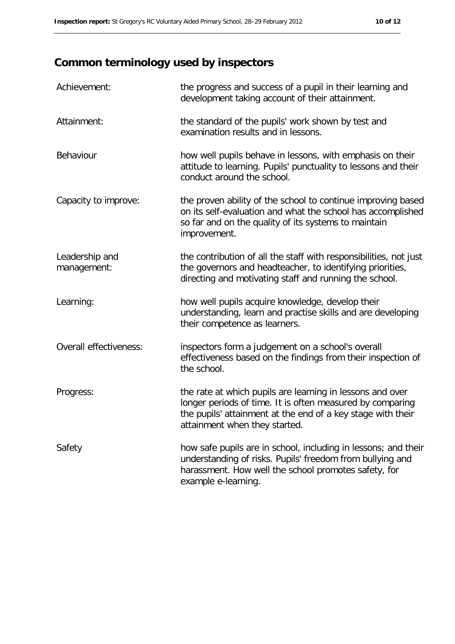# **Common terminology used by inspectors**

| Achievement:                  | the progress and success of a pupil in their learning and<br>development taking account of their attainment.                                                                                                           |
|-------------------------------|------------------------------------------------------------------------------------------------------------------------------------------------------------------------------------------------------------------------|
| Attainment:                   | the standard of the pupils' work shown by test and<br>examination results and in lessons.                                                                                                                              |
| Behaviour                     | how well pupils behave in lessons, with emphasis on their<br>attitude to learning. Pupils' punctuality to lessons and their<br>conduct around the school.                                                              |
| Capacity to improve:          | the proven ability of the school to continue improving based<br>on its self-evaluation and what the school has accomplished<br>so far and on the quality of its systems to maintain<br>improvement.                    |
| Leadership and<br>management: | the contribution of all the staff with responsibilities, not just<br>the governors and headteacher, to identifying priorities,<br>directing and motivating staff and running the school.                               |
| Learning:                     | how well pupils acquire knowledge, develop their<br>understanding, learn and practise skills and are developing<br>their competence as learners.                                                                       |
| Overall effectiveness:        | inspectors form a judgement on a school's overall<br>effectiveness based on the findings from their inspection of<br>the school.                                                                                       |
| Progress:                     | the rate at which pupils are learning in lessons and over<br>longer periods of time. It is often measured by comparing<br>the pupils' attainment at the end of a key stage with their<br>attainment when they started. |
| Safety                        | how safe pupils are in school, including in lessons; and their<br>understanding of risks. Pupils' freedom from bullying and<br>harassment. How well the school promotes safety, for<br>example e-learning.             |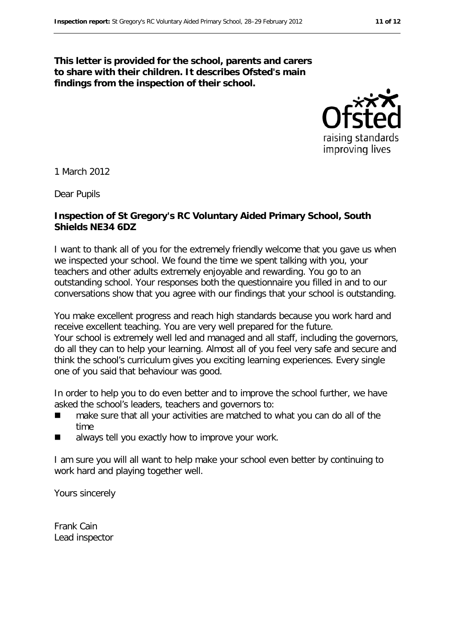#### **This letter is provided for the school, parents and carers to share with their children. It describes Ofsted's main findings from the inspection of their school.**



1 March 2012

Dear Pupils

#### **Inspection of St Gregory's RC Voluntary Aided Primary School, South Shields NE34 6DZ**

I want to thank all of you for the extremely friendly welcome that you gave us when we inspected your school. We found the time we spent talking with you, your teachers and other adults extremely enjoyable and rewarding. You go to an outstanding school. Your responses both the questionnaire you filled in and to our conversations show that you agree with our findings that your school is outstanding.

You make excellent progress and reach high standards because you work hard and receive excellent teaching. You are very well prepared for the future. Your school is extremely well led and managed and all staff, including the governors, do all they can to help your learning. Almost all of you feel very safe and secure and think the school's curriculum gives you exciting learning experiences. Every single one of you said that behaviour was good.

In order to help you to do even better and to improve the school further, we have asked the school's leaders, teachers and governors to:

- make sure that all your activities are matched to what you can do all of the time
- **a** always tell you exactly how to improve your work.

I am sure you will all want to help make your school even better by continuing to work hard and playing together well.

Yours sincerely

Frank Cain Lead inspector